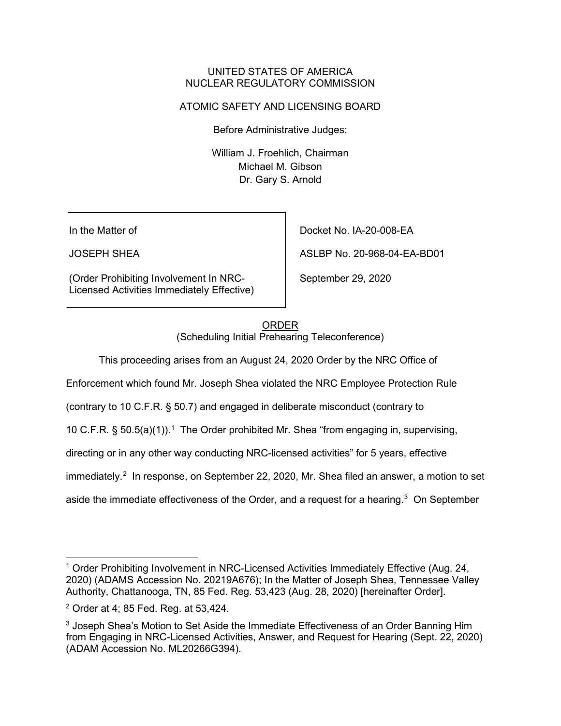### UNITED STATES OF AMERICA NUCLEAR REGULATORY COMMISSION

# ATOMIC SAFETY AND LICENSING BOARD

Before Administrative Judges:

William J. Froehlich, Chairman Michael M. Gibson Dr. Gary S. Arnold

In the Matter of

JOSEPH SHEA

(Order Prohibiting Involvement In NRC-Licensed Activities Immediately Effective) Docket No. IA-20-008-EA

ASLBP No. 20-968-04-EA-BD01

September 29, 2020

### ORDER

(Scheduling Initial Prehearing Teleconference)

This proceeding arises from an August 24, 2020 Order by the NRC Office of

Enforcement which found Mr. Joseph Shea violated the NRC Employee Protection Rule

(contrary to 10 C.F.R. § 50.7) and engaged in deliberate misconduct (contrary to

10 C.F.R. § 50.5(a)(1)). [1](#page-0-0) The Order prohibited Mr. Shea "from engaging in, supervising,

directing or in any other way conducting NRC-licensed activities" for 5 years, effective

immediately. $^2\,$  $^2\,$  $^2\,$  In response, on September 22, 2020, Mr. Shea filed an answer, a motion to set

aside the immediate effectiveness of the Order, and a request for a hearing. $^3$  $^3$  On September

<span id="page-0-0"></span><sup>1</sup> Order Prohibiting Involvement in NRC-Licensed Activities Immediately Effective (Aug. 24, 2020) (ADAMS Accession No. 20219A676); In the Matter of Joseph Shea, Tennessee Valley Authority, Chattanooga, TN, 85 Fed. Reg. 53,423 (Aug. 28, 2020) [hereinafter Order].

<span id="page-0-1"></span><sup>2</sup> Order at 4; 85 Fed. Reg. at 53,424.

<span id="page-0-2"></span><sup>&</sup>lt;sup>3</sup> Joseph Shea's Motion to Set Aside the Immediate Effectiveness of an Order Banning Him from Engaging in NRC-Licensed Activities, Answer, and Request for Hearing (Sept. 22, 2020) (ADAM Accession No. ML20266G394).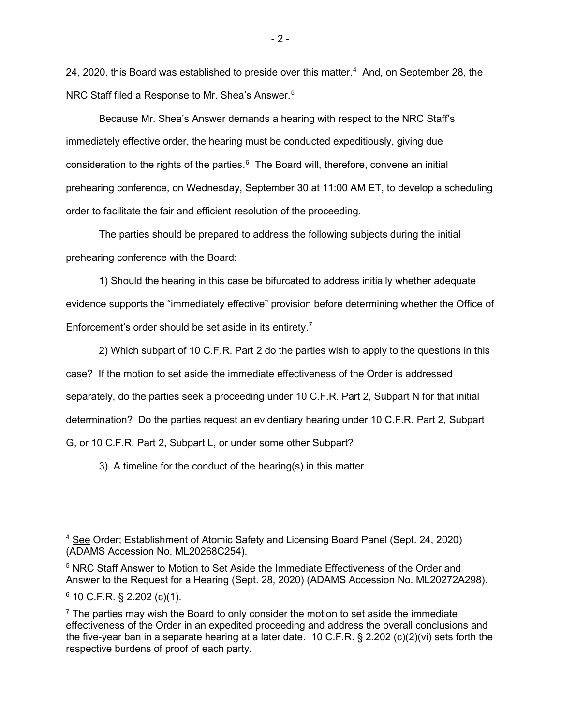2[4](#page-1-0), 2020, this Board was established to preside over this matter. $^4\,$  And, on September 28, the NRC Staff filed a Response to Mr. Shea's Answer.<sup>[5](#page-1-1)</sup>

Because Mr. Shea's Answer demands a hearing with respect to the NRC Staff's immediately effective order, the hearing must be conducted expeditiously, giving due consideration to the rights of the parties. $6$  The Board will, therefore, convene an initial prehearing conference, on Wednesday, September 30 at 11:00 AM ET, to develop a scheduling order to facilitate the fair and efficient resolution of the proceeding.

The parties should be prepared to address the following subjects during the initial prehearing conference with the Board:

1) Should the hearing in this case be bifurcated to address initially whether adequate evidence supports the "immediately effective" provision before determining whether the Office of Enforcement's order should be set aside in its entirety.<sup>[7](#page-1-3)</sup>

2) Which subpart of 10 C.F.R. Part 2 do the parties wish to apply to the questions in this case? If the motion to set aside the immediate effectiveness of the Order is addressed separately, do the parties seek a proceeding under 10 C.F.R. Part 2, Subpart N for that initial determination? Do the parties request an evidentiary hearing under 10 C.F.R. Part 2, Subpart G, or 10 C.F.R. Part 2, Subpart L, or under some other Subpart?

3) A timeline for the conduct of the hearing(s) in this matter.

<span id="page-1-0"></span><sup>&</sup>lt;sup>4</sup> See Order; Establishment of Atomic Safety and Licensing Board Panel (Sept. 24, 2020) (ADAMS Accession No. ML20268C254).

<span id="page-1-1"></span><sup>5</sup> NRC Staff Answer to Motion to Set Aside the Immediate Effectiveness of the Order and Answer to the Request for a Hearing (Sept. 28, 2020) (ADAMS Accession No. ML20272A298).  $6$  10 C.F.R. § 2.202 (c)(1).

<span id="page-1-3"></span><span id="page-1-2"></span> $<sup>7</sup>$  The parties may wish the Board to only consider the motion to set aside the immediate</sup> effectiveness of the Order in an expedited proceeding and address the overall conclusions and the five-year ban in a separate hearing at a later date. 10 C.F.R. § 2.202 (c)(2)(vi) sets forth the respective burdens of proof of each party.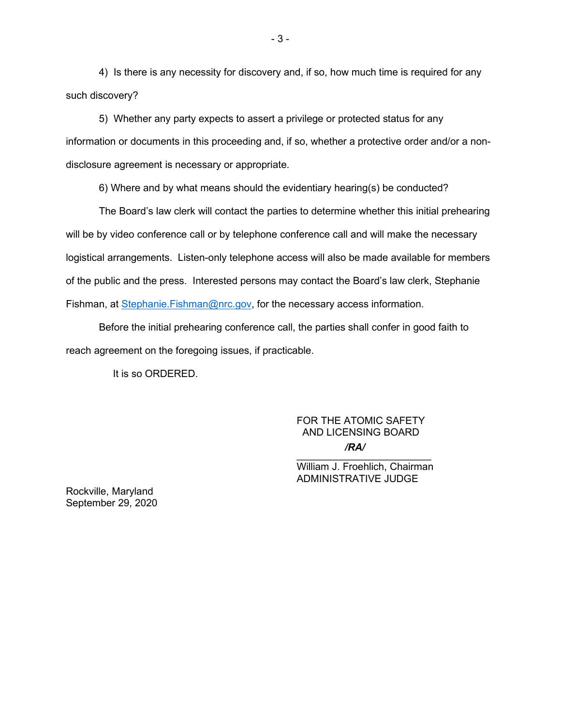4) Is there is any necessity for discovery and, if so, how much time is required for any such discovery?

5) Whether any party expects to assert a privilege or protected status for any information or documents in this proceeding and, if so, whether a protective order and/or a nondisclosure agreement is necessary or appropriate.

6) Where and by what means should the evidentiary hearing(s) be conducted?

The Board's law clerk will contact the parties to determine whether this initial prehearing will be by video conference call or by telephone conference call and will make the necessary logistical arrangements. Listen-only telephone access will also be made available for members of the public and the press. Interested persons may contact the Board's law clerk, Stephanie Fishman, at [Stephanie.Fishman@nrc.gov,](mailto:Stephanie.Fishman@nrc.gov) for the necessary access information.

Before the initial prehearing conference call, the parties shall confer in good faith to reach agreement on the foregoing issues, if practicable.

It is so ORDERED.

# FOR THE ATOMIC SAFETY AND LICENSING BOARD */RA/*

 $\mathcal{L}_\text{max}$  , which is a set of the set of the set of the set of the set of the set of the set of the set of the set of the set of the set of the set of the set of the set of the set of the set of the set of the set of William J. Froehlich, Chairman ADMINISTRATIVE JUDGE

Rockville, Maryland September 29, 2020